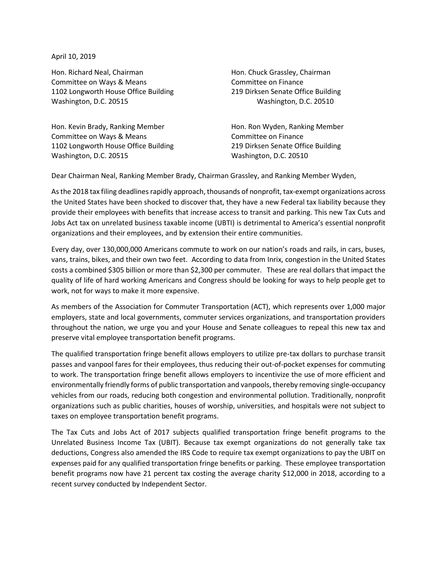April 10, 2019

Hon. Richard Neal, Chairman **Hon. Chuck Grassley, Chairman** Committee on Ways & Means Committee on Finance 1102 Longworth House Office Building 219 Dirksen Senate Office Building Washington, D.C. 20515 Washington, D.C. 20510

Hon. Kevin Brady, Ranking Member **Hon. Ron Wyden, Ranking Member** Committee on Ways & Means Committee on Finance 1102 Longworth House Office Building 219 Dirksen Senate Office Building Washington, D.C. 20515 Washington, D.C. 20510

Dear Chairman Neal, Ranking Member Brady, Chairman Grassley, and Ranking Member Wyden,

As the 2018 tax filing deadlines rapidly approach, thousands of nonprofit, tax-exempt organizations across the United States have been shocked to discover that, they have a new Federal tax liability because they provide their employees with benefits that increase access to transit and parking. This new Tax Cuts and Jobs Act tax on unrelated business taxable income (UBTI) is detrimental to America's essential nonprofit organizations and their employees, and by extension their entire communities.

Every day, over 130,000,000 Americans commute to work on our nation's roads and rails, in cars, buses, vans, trains, bikes, and their own two feet. According to data from Inrix, congestion in the United States costs a combined \$305 billion or more than \$2,300 per commuter. These are real dollars that impact the quality of life of hard working Americans and Congress should be looking for ways to help people get to work, not for ways to make it more expensive.

As members of the Association for Commuter Transportation (ACT), which represents over 1,000 major employers, state and local governments, commuter services organizations, and transportation providers throughout the nation, we urge you and your House and Senate colleagues to repeal this new tax and preserve vital employee transportation benefit programs.

The qualified transportation fringe benefit allows employers to utilize pre-tax dollars to purchase transit passes and vanpool fares for their employees, thus reducing their out-of-pocket expenses for commuting to work. The transportation fringe benefit allows employers to incentivize the use of more efficient and environmentally friendly forms of public transportation and vanpools, thereby removing single-occupancy vehicles from our roads, reducing both congestion and environmental pollution. Traditionally, nonprofit organizations such as public charities, houses of worship, universities, and hospitals were not subject to taxes on employee transportation benefit programs.

The Tax Cuts and Jobs Act of 2017 subjects qualified transportation fringe benefit programs to the Unrelated Business Income Tax (UBIT). Because tax exempt organizations do not generally take tax deductions, Congress also amended the IRS Code to require tax exempt organizations to pay the UBIT on expenses paid for any qualified transportation fringe benefits or parking. These employee transportation benefit programs now have 21 percent tax costing the average charity \$12,000 in 2018, according to a recent survey conducted by Independent Sector.